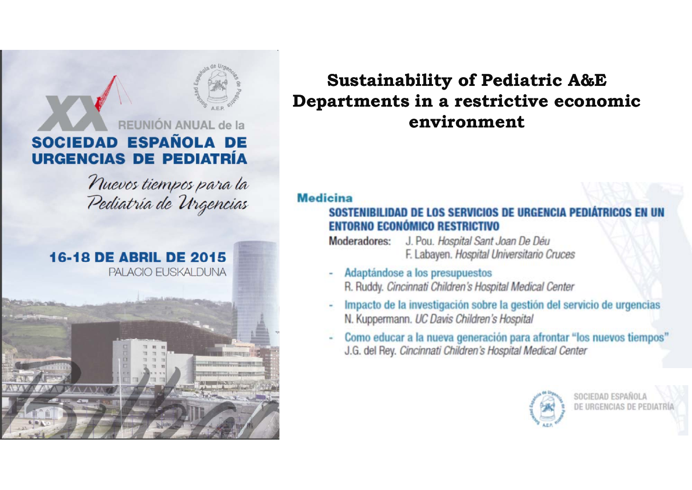## REUNIÓN ANUAL de la SOCIEDAD ESPAÑOLA DE **URGENCIAS DE PEDIATRÍA**

Nuevos tiempos para la Pediatría de Urgencias



### **Sustainability of Pediatric A&E** Departments in a restrictive economic environment

#### **Medicina**

#### SOSTENIBILIDAD DE LOS SERVICIOS DE URGENCIA PEDIÁTRICOS EN UN **ENTORNO ECONÓMICO RESTRICTIVO**

- Moderadores: J. Pou. Hospital Sant Joan De Déu F. Labayen. Hospital Universitario Cruces
- Adaptándose a los presupuestos R. Ruddy. Cincinnati Children's Hospital Medical Center
- Impacto de la investigación sobre la gestión del servicio de urgencias N. Kuppermann. UC Davis Children's Hospital
- Como educar a la nueva generación para afrontar "los nuevos tiempos" J.G. del Rey. Cincinnati Children's Hospital Medical Center

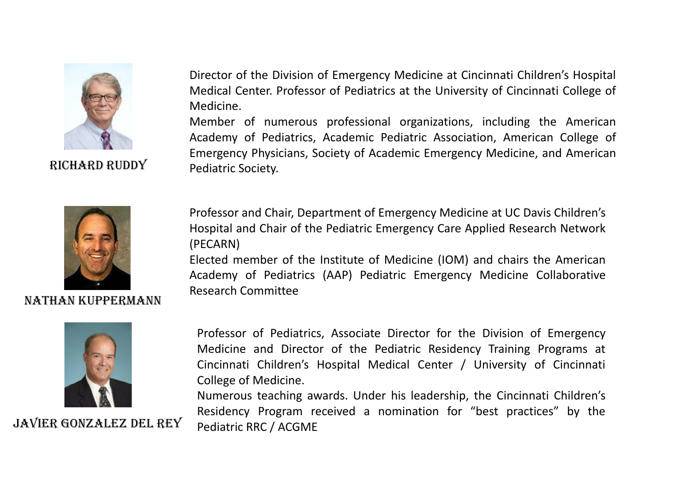

Director of the Division of Emergency Medicine at Cincinnati Children's Hospital Medical Center. Professor of Pediatrics at the University of Cincinnati College of Medicine.

Member of numerous professional organizations, including the American Academy of Pediatrics, Academic Pediatric Association, American College of Emergency Physicians, Society of Academic Emergency Medicine, and American RICHARD RUDDY Pediatric Society. RICHARD



NATHAN KUPPERMANN



Professor and Chair, Department of Emergency Medicine at UC Davis Children's Hospital and Chair of the Pediatric Emergency Care Applied Research Network (PECARN)

Elected member of the Institute of Medicine (IOM) and chairs the American Academy of Pediatrics (AAP) Pediatric Emergency Medicine Collaborative Research Committee

Professor <sup>o</sup> f Pediatrics, Associate Director for the Division <sup>o</sup> f Emergency Medicine and Director of the Pediatric Residency Training Programs at Cincinnati Children's Hospital Medical Center / University of Cincinnati College of Medicine.

Numerous teaching awards. Under his leadership, the Cincinnati Children's THE TERRY Residency Program received a nomination for "best practices" by the JAVIER GONZALEZ DEL REY Pediatric RRC / ACGME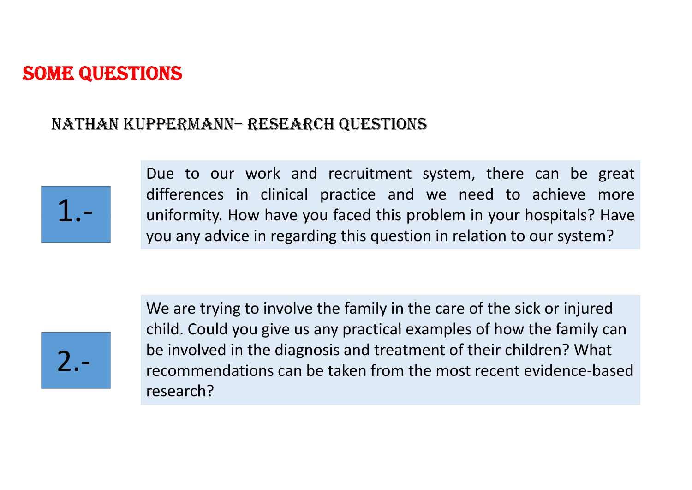#### NATHAN KUPPERMANN– RESEARCH QUESTIONS



Due to our work and recruitment system, there can be great differences in clinical practice and we need to achieve more <sup>1</sup>uniformity. How have you faced this problem in your hospitals? Have you any advice in regarding this question in relation to our system?

We are trying to involve the family in the care of the sick or injured child. Could you give us any practical examples of how the family can be involved in the diagnosis and treatment of their children? What <br>2.- Secommendations can be taken from the most recent evidence bay • The sum recommendations can be taken from the most recent evidence-based research?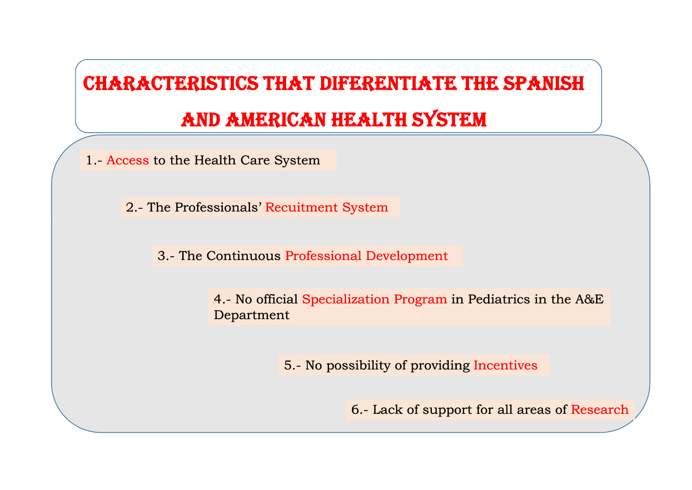# CHARACTERISTICS THAT DIFERENTIATE THE SPANISH

## AND AMERICAN HEALTH SYSTEM

1.- Access to the Health Care System

2.- The Professionals' Recuitment System

3.- The Continuous Professional Development

4.- No official Specialization Program in Pediatrics in the A&E Department

5.- No possibility of providing Incentives

6.- Lack of support for all areas of Research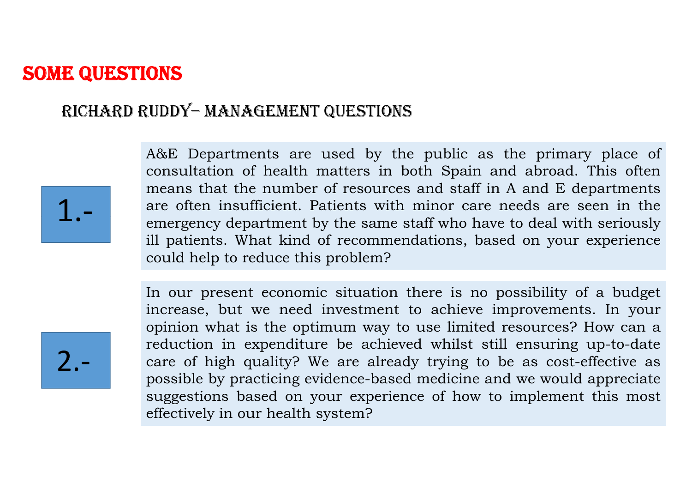#### RICHARD RUDDY-MANAGEMENT QUESTIONS



A&E Departments are used by the public as the primary place of consultation of health matters in both Spain and abroad. This often means that the number of resources and staff in A and E departments are often insufficient. Patients with minor care needs are seen in the emergency department by the same staff who have to deal with seriously ill patients. What kind of recommendations, based on your experience could help to reduce this problem?

In our present economic situation there is no possibility of a budget increase, but we need investment to achieve improvements. In your opinion what is the optimum way to use limited resources? How can a reduction in expenditure be achieved whilst still ensuring up-to-date care of high quality? We are already trying to be as cost-effective as possible by practicing evidence-based medicine and we would appreciate suggestions based on your experience of how to implement this most effectively in our health system?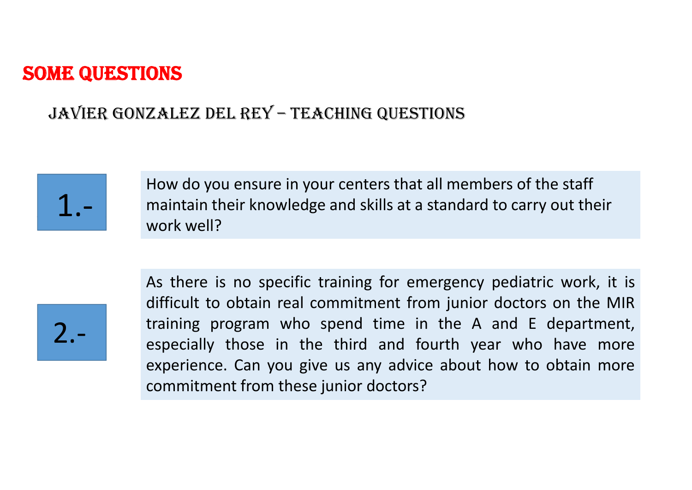#### JAVIER GONZALEZ DEL REY – TEACHING QUESTIONS



How do you ensure in your centers that all members of the staff maintain their knowledge and skills at a standard to carry out their work well?

2.‐

As there is no specific training for emergency pediatric work, it is difficult to obtain real commitment from junior doctors on the MIR training program who spend time in the <sup>A</sup> and <sup>E</sup> department, 2 especially those in the third and fourth year who have more experience. Can you give us any advice about how to obtain more commitment from these junior doctors?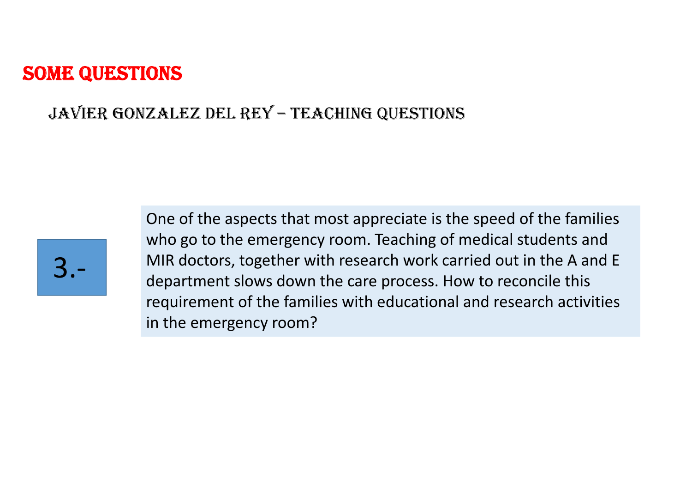#### JAVIER GONZALEZ DEL REY – TEACHING QUESTIONS



One of the aspects that most appreciate is the speed of the families who go to the emergency room. Teaching of medical students and MIR doctors, together with research work carried out in the A and E department slows down the care process. How to reconcile this requirement of the families with educational and research activities in the emergency room?